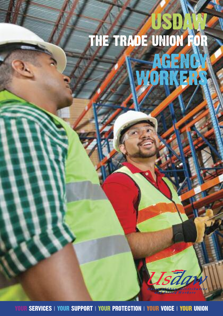# USDAW agency workers THE TRADE UNION FOR

YOUR SERVICES **|** YOUR SUPPORT **|** YOUR PROTECTION **|** YOUR VOICE **|** YOUR UNION

Usā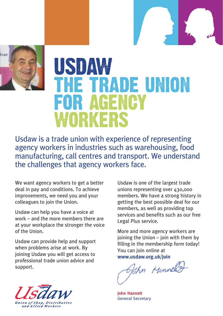

# USDAW the trade union for agency workers

Usdaw is a trade union with experience of representing agency workers in industries such as warehousing, food manufacturing, call centres and transport. We understand the challenges that agency workers face.

We want agency workers to get a better deal in pay and conditions. To achieve improvements, we need you and your colleagues to join the Union.

Usdaw can help you have a voice at work – and the more members there are at your workplace the stronger the voice of the Union.

Usdaw can provide help and support when problems arise at work. By joining Usdaw you will get access to professional trade union advice and support.



Usdaw is one of the largest trade unions representing over 430,000 members. We have a strong history in getting the best possible deal for our members, as well as providing top services and benefits such as our free Legal Plus service.

More and more agency workers are joining the Union – join with them by filling in the membership form today! You can join online at **www.usdaw.org.uk/join**

John Minnell<del>)</del>

**John Hannett** General Secretary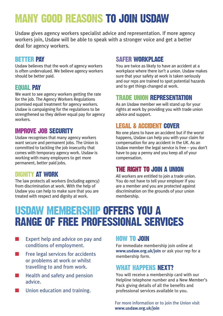## MANY GOOD REASONS TO JOIN USDAW

Usdaw gives agency workers specialist advice and representation. If more agency workers join, Usdaw will be able to speak with a stronger voice and get a better deal for agency workers.

#### BETTER PAY

Usdaw believes that the work of agency workers is often undervalued. We believe agency workers should be better paid.

#### EQUAL PAY

We want to see agency workers getting the rate for the job. The Agency Workers Regulations promised equal treatment for agency workers. Usdaw is campaigning for the regulations to be strengthened so they deliver equal pay for agency workers.

#### IMPROVE JOB SECURITY

Usdaw recognises that many agency workers want secure and permanent jobs. The Union is committed to tackling the job insecurity that comes with temporary agency work. Usdaw is working with many employers to get more permanent, better paid jobs.

#### DIGNITY AT WORK

The law protects all workers (including agency) from discrimination at work. With the help of Usdaw you can help to make sure that you are treated with respect and dignity at work.

#### SAFER WORKPLACE

You are twice as likely to have an accident at a workplace where there isn't a union. Usdaw makes sure that your safety at work is taken seriously and our reps are trained to spot potential hazards and to get things changed at work.

#### TRADE UNION REPRESENTATION

As an Usdaw member we will stand up for your rights at work by providing you with trade union advice and support.

#### LEGAL & ACCIDENT COVER

No one plans to have an accident but if the worst happens, Usdaw can help you with your claim for compensation for any accident in the UK. As an Usdaw member the legal service is free – you don't have to pay a penny and you keep all of your compensation.

#### THE RIGHT TO JOIN A UNION

All workers are entitled to join a trade union. You do not have to tell your employer if you are a member and you are protected against discrimination on the grounds of your union membership.

## USDAW MEMBERSHIP OFFERS YOU A RANGE OF FREE PROFESSIONAL SERVICES

- ■■ Expert help and advice on pay and conditions of employment.
- Free legal services for accidents or problems at work or whilst travelling to and from work.
- Health and safety and pension advice.
- Union education and training.

#### HOW TO JOIN

For immediate membership join online at **www.usdaw.org.uk/join** or ask your rep for <sup>a</sup> membership form.

#### WHAT HAPPENS NEXT?

You will receive <sup>a</sup> membership card with our Helpline telephone number and <sup>a</sup> New Member's Pack giving details of all the benefits and professional services available to you.

For more information or to join the Union visit **www.usdaw.org.uk/join**